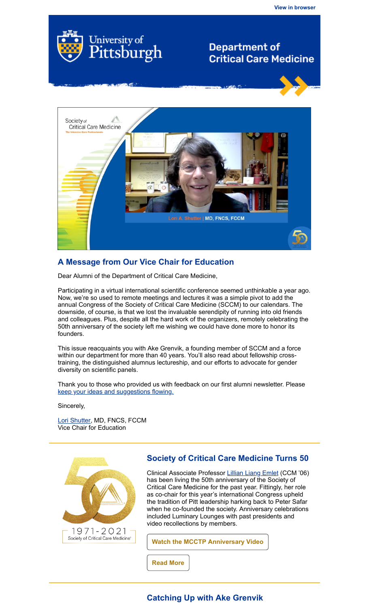

# **Department of Critical Care Medicine**



## **A Message from Our Vice Chair for Education**

Dear Alumni of the Department of Critical Care Medicine,

Participating in a virtual international scientific conference seemed unthinkable a year ago. Now, we're so used to remote meetings and lectures it was a simple pivot to add the annual Congress of the Society of Critical Care Medicine (SCCM) to our calendars. The downside, of course, is that we lost the invaluable serendipity of running into old friends and colleagues. Plus, despite all the hard work of the organizers, remotely celebrating the 50th anniversary of the society left me wishing we could have done more to honor its founders.

This issue reacquaints you with Ake Grenvik, a founding member of SCCM and a force within our department for more than 40 years. You'll also read about fellowship crosstraining, the distinguished alumnus lectureship, and our efforts to advocate for gender diversity on scientific panels.

Thank you to those who provided us with feedback on our first alumni newsletter. Please [keep your ideas and suggestions flowing.](https://pitt.co1.qualtrics.com/jfe/form/SV_38k3cRNmM3E9PdH)

Sincerely,

[Lori Shutter](https://www.ccm.pitt.edu/node/231), MD, FNCS, FCCM Vice Chair for Education



#### **Society of Critical Care Medicine Turns 50**

Clinical Associate Professor [Lillian Liang Emlet](https://ccm.pitt.edu/node/269) (CCM '06) has been living the 50th anniversary of the Society of Critical Care Medicine for the past year. Fittingly, her role as co-chair for this year's international Congress upheld the tradition of Pitt leadership harking back to Peter Safar when he co-founded the society. Anniversary celebrations included Luminary Lounges with past presidents and video recollections by members.

**[Watch the MCCTP Anniversary Video](https://story.sccm.me/pitt-multidisciplinary-critical-care-training-program-shares-their-story/)**

**[Read More](https://ccm.pitt.edu/node/1336)**

## **Catching Up with Ake Grenvik**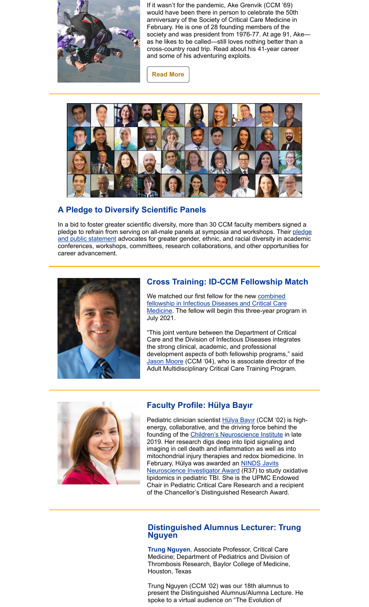![](_page_1_Picture_0.jpeg)

If it wasn't for the pandemic, Ake Grenvik (CCM '69) would have been there in person to celebrate the 50th anniversary of the Society of Critical Care Medicine in February. He is one of 28 founding members of the society and was president from 1976-77. At age 91, Akeas he likes to be called—still loves nothing better than a cross-country road trip. Read about his 41-year career and some of his adventuring exploits.

**[Read More](https://ccm.pitt.edu/?q=content/catching-ake-grenvik-md)**

![](_page_1_Picture_3.jpeg)

## **A Pledge to Diversify Scientific Panels**

In a bid to foster greater scientific diversity, more than 30 CCM faculty members signed a [pledge to refrain from serving on all-male panels at symposia and workshops. Their pledge](https://ccm.pitt.edu/sites/default/files/No_Manels_Statement-CCM_1-7-21.pdf) and public statement advocates for greater gender, ethnic, and racial diversity in academic conferences, workshops, committees, research collaborations, and other opportunities for career advancement.

![](_page_1_Picture_6.jpeg)

### **Cross Training: ID-CCM Fellowship Match**

We matched our first fellow for the new combined fellowship in Infectious Diseases and Critical Care [Medicine. The fellow will begin this three-year prog](https://ccm.pitt.edu/content/infections-diseasescritical-care-medicine-fellowship)ram in July 2021.

"This joint venture between the Department of Critical Care and the Division of Infectious Diseases integrates the strong clinical, academic, and professional development aspects of both fellowship programs," said [Jason Moore](https://ccm.pitt.edu/node/530) (CCM '04), who is associate director of the Adult Multidisciplinary Critical Care Training Program.

![](_page_1_Picture_10.jpeg)

## **Faculty Profile: Hülya Bayır**

Pediatric clinician scientist [Hülya Bayır](https://www.ccm.pitt.edu/node/294) (CCM '02) is highenergy, collaborative, and the driving force behind the founding of the [Children's Neuroscience Institute](https://cnipgh.pitt.edu/home) in late 2019. Her research digs deep into lipid signaling and imaging in cell death and inflammation as well as into mitochondrial injury therapies and redox biomedicine. In February, Hülya was awarded an NINDS Javits **[Neuroscience Investigator Award \(R37\) to study](https://ccm.pitt.edu/node/1326) oxidative** lipidomics in pediatric TBI. She is the UPMC Endowed Chair in Pediatric Critical Care Research and a recipient of the Chancellor's Distinguished Research Award.

#### **Distinguished Alumnus Lecturer: Trung Nguyen**

**Trung Nguyen**, Associate Professor, Critical Care Medicine; Department of Pediatrics and Division of Thrombosis Research, Baylor College of Medicine, Houston, Texas

Trung Nguyen (CCM '02) was our 18th alumnus to present the Distinguished Alumnus/Alumna Lecture. He spoke to a virtual audience on "The Evolution of